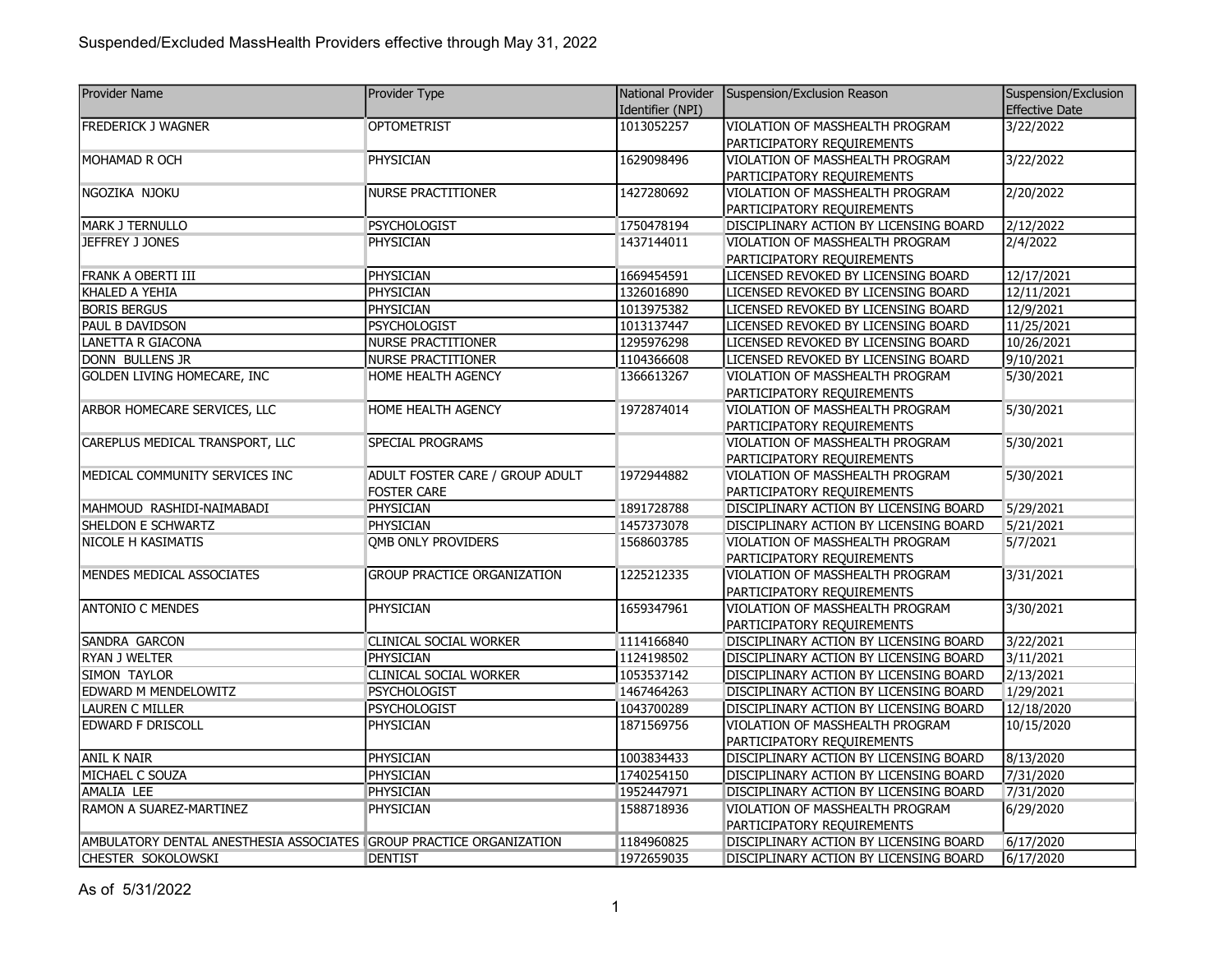| <b>Provider Name</b>                                                | <b>Provider Type</b>               | National Provider | Suspension/Exclusion Reason                   | Suspension/Exclusion  |
|---------------------------------------------------------------------|------------------------------------|-------------------|-----------------------------------------------|-----------------------|
|                                                                     |                                    | Identifier (NPI)  |                                               | <b>Effective Date</b> |
| <b>FREDERICK J WAGNER</b>                                           | <b>OPTOMETRIST</b>                 | 1013052257        | VIOLATION OF MASSHEALTH PROGRAM               | 3/22/2022             |
|                                                                     |                                    |                   | PARTICIPATORY REQUIREMENTS                    |                       |
| MOHAMAD R OCH                                                       | <b>PHYSICIAN</b>                   | 1629098496        | VIOLATION OF MASSHEALTH PROGRAM               | 3/22/2022             |
|                                                                     |                                    |                   | PARTICIPATORY REQUIREMENTS                    |                       |
| NGOZIKA NJOKU                                                       | NURSE PRACTITIONER                 | 1427280692        | VIOLATION OF MASSHEALTH PROGRAM               | 2/20/2022             |
|                                                                     |                                    |                   | PARTICIPATORY REQUIREMENTS                    |                       |
| <b>MARK J TERNULLO</b>                                              | <b>PSYCHOLOGIST</b>                | 1750478194        | DISCIPLINARY ACTION BY LICENSING BOARD        | 2/12/2022             |
| JEFFREY J JONES                                                     | PHYSICIAN                          | 1437144011        | VIOLATION OF MASSHEALTH PROGRAM               | 2/4/2022              |
|                                                                     |                                    |                   | PARTICIPATORY REQUIREMENTS                    |                       |
| FRANK A OBERTI III                                                  | PHYSICIAN                          | 1669454591        | LICENSED REVOKED BY LICENSING BOARD           | 12/17/2021            |
| KHALED A YEHIA                                                      | <b>PHYSICIAN</b>                   | 1326016890        | LICENSED REVOKED BY LICENSING BOARD           | 12/11/2021            |
| <b>BORIS BERGUS</b>                                                 | PHYSICIAN                          | 1013975382        | LICENSED REVOKED BY LICENSING BOARD           | 12/9/2021             |
| PAUL B DAVIDSON                                                     | PSYCHOLOGIST                       | 1013137447        | LICENSED REVOKED BY LICENSING BOARD           | 11/25/2021            |
| LANETTA R GIACONA                                                   | <b>NURSE PRACTITIONER</b>          | 1295976298        | LICENSED REVOKED BY LICENSING BOARD           | 10/26/2021            |
| <b>DONN BULLENS JR</b>                                              | <b>NURSE PRACTITIONER</b>          | 1104366608        | LICENSED REVOKED BY LICENSING BOARD           | 9/10/2021             |
| GOLDEN LIVING HOMECARE, INC                                         | HOME HEALTH AGENCY                 | 1366613267        | VIOLATION OF MASSHEALTH PROGRAM               | 5/30/2021             |
|                                                                     |                                    |                   | PARTICIPATORY REQUIREMENTS                    |                       |
| ARBOR HOMECARE SERVICES, LLC                                        | HOME HEALTH AGENCY                 | 1972874014        | VIOLATION OF MASSHEALTH PROGRAM               | 5/30/2021             |
|                                                                     |                                    |                   | PARTICIPATORY REQUIREMENTS                    |                       |
| CAREPLUS MEDICAL TRANSPORT, LLC                                     | SPECIAL PROGRAMS                   |                   | VIOLATION OF MASSHEALTH PROGRAM               | 5/30/2021             |
|                                                                     |                                    |                   | PARTICIPATORY REQUIREMENTS                    |                       |
| MEDICAL COMMUNITY SERVICES INC                                      | ADULT FOSTER CARE / GROUP ADULT    | 1972944882        | VIOLATION OF MASSHEALTH PROGRAM               | 5/30/2021             |
|                                                                     | <b>FOSTER CARE</b>                 |                   | PARTICIPATORY REQUIREMENTS                    |                       |
| MAHMOUD RASHIDI-NAIMABADI                                           | PHYSICIAN                          | 1891728788        | DISCIPLINARY ACTION BY LICENSING BOARD        | 5/29/2021             |
| SHELDON E SCHWARTZ                                                  | <b>PHYSICIAN</b>                   | 1457373078        | DISCIPLINARY ACTION BY LICENSING BOARD        | 5/21/2021             |
| NICOLE H KASIMATIS                                                  | <b>QMB ONLY PROVIDERS</b>          | 1568603785        | VIOLATION OF MASSHEALTH PROGRAM               | 5/7/2021              |
|                                                                     |                                    |                   | PARTICIPATORY REQUIREMENTS                    |                       |
| MENDES MEDICAL ASSOCIATES                                           | <b>GROUP PRACTICE ORGANIZATION</b> | 1225212335        | VIOLATION OF MASSHEALTH PROGRAM               | 3/31/2021             |
|                                                                     |                                    |                   | PARTICIPATORY REQUIREMENTS                    |                       |
| <b>ANTONIO C MENDES</b>                                             | PHYSICIAN                          | 1659347961        | VIOLATION OF MASSHEALTH PROGRAM               | 3/30/2021             |
|                                                                     |                                    |                   | PARTICIPATORY REQUIREMENTS                    |                       |
| SANDRA GARCON                                                       | CLINICAL SOCIAL WORKER             | 1114166840        | DISCIPLINARY ACTION BY LICENSING BOARD        | 3/22/2021             |
| <b>RYAN J WELTER</b>                                                | PHYSICIAN                          | 1124198502        | <b>DISCIPLINARY ACTION BY LICENSING BOARD</b> | 3/11/2021             |
| SIMON TAYLOR                                                        | CLINICAL SOCIAL WORKER             | 1053537142        | DISCIPLINARY ACTION BY LICENSING BOARD        | 2/13/2021             |
| <b>EDWARD M MENDELOWITZ</b>                                         | <b>PSYCHOLOGIST</b>                | 1467464263        | DISCIPLINARY ACTION BY LICENSING BOARD        | 1/29/2021             |
| <b>LAUREN C MILLER</b>                                              | PSYCHOLOGIST                       | 1043700289        | DISCIPLINARY ACTION BY LICENSING BOARD        | 12/18/2020            |
| <b>EDWARD F DRISCOLL</b>                                            | PHYSICIAN                          | 1871569756        | VIOLATION OF MASSHEALTH PROGRAM               | 10/15/2020            |
|                                                                     |                                    |                   | PARTICIPATORY REQUIREMENTS                    |                       |
| <b>ANIL K NAIR</b>                                                  | <b>PHYSICIAN</b>                   | 1003834433        | DISCIPLINARY ACTION BY LICENSING BOARD        | 8/13/2020             |
| MICHAEL C SOUZA                                                     | PHYSICIAN                          | 1740254150        | DISCIPLINARY ACTION BY LICENSING BOARD        | 7/31/2020             |
| AMALIA LEE                                                          | PHYSICIAN                          | 1952447971        | DISCIPLINARY ACTION BY LICENSING BOARD        | 7/31/2020             |
| RAMON A SUAREZ-MARTINEZ                                             | PHYSICIAN                          | 1588718936        | VIOLATION OF MASSHEALTH PROGRAM               | 6/29/2020             |
|                                                                     |                                    |                   | PARTICIPATORY REQUIREMENTS                    |                       |
| AMBULATORY DENTAL ANESTHESIA ASSOCIATES GROUP PRACTICE ORGANIZATION |                                    | 1184960825        | DISCIPLINARY ACTION BY LICENSING BOARD        | 6/17/2020             |
| CHESTER SOKOLOWSKI                                                  | <b>DENTIST</b>                     | 1972659035        | DISCIPLINARY ACTION BY LICENSING BOARD        | 6/17/2020             |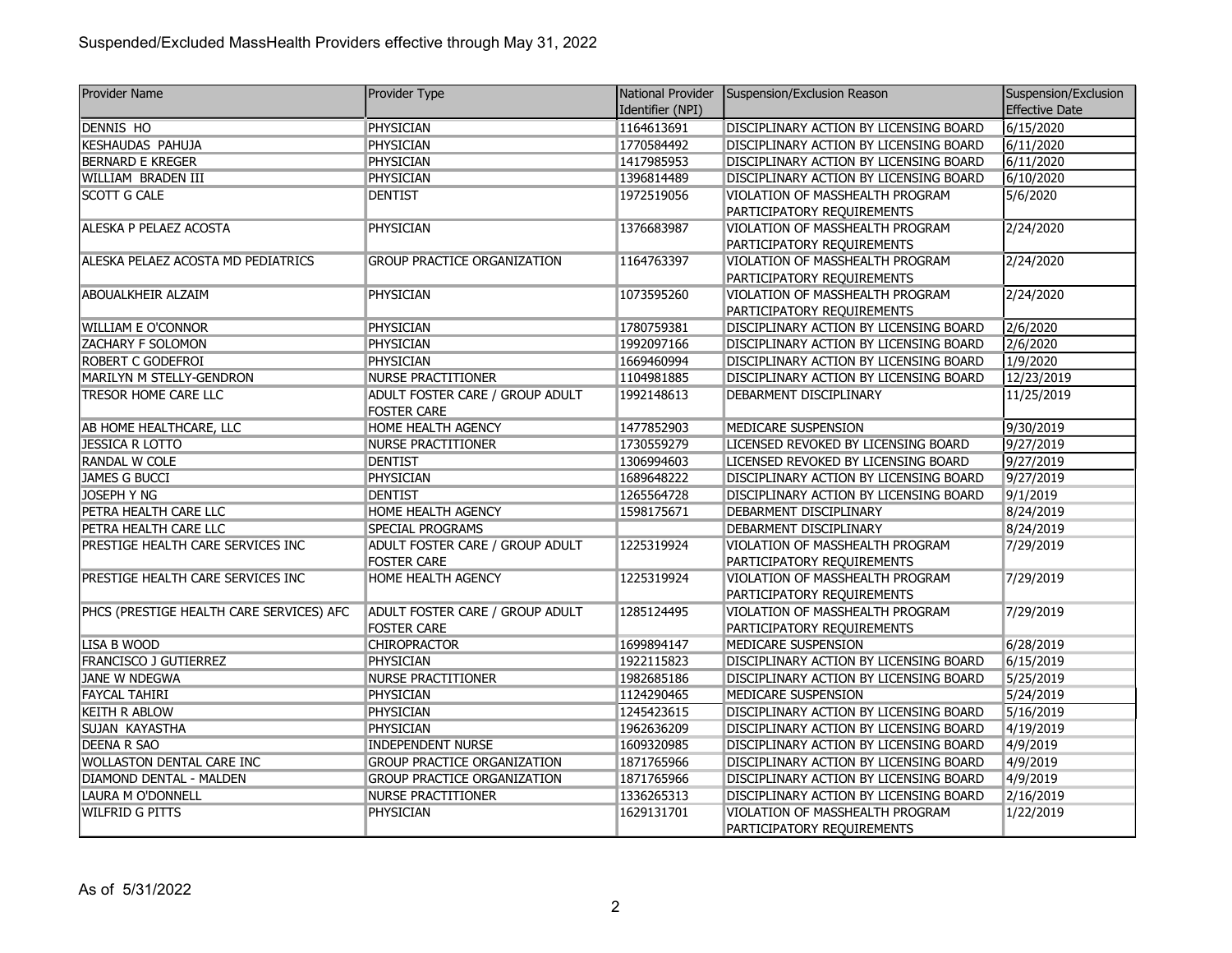| <b>Provider Name</b>                     | Provider Type                      |                  | National Provider Suspension/Exclusion Reason | Suspension/Exclusion |
|------------------------------------------|------------------------------------|------------------|-----------------------------------------------|----------------------|
|                                          |                                    | Identifier (NPI) |                                               | Effective Date       |
| <b>DENNIS HO</b>                         | <b>PHYSICIAN</b>                   | 1164613691       | DISCIPLINARY ACTION BY LICENSING BOARD        | 6/15/2020            |
| <b>KESHAUDAS PAHUJA</b>                  | <b>PHYSICIAN</b>                   | 1770584492       | DISCIPLINARY ACTION BY LICENSING BOARD        | 6/11/2020            |
| <b>BERNARD E KREGER</b>                  | PHYSICIAN                          | 1417985953       | DISCIPLINARY ACTION BY LICENSING BOARD        | 6/11/2020            |
| WILLIAM BRADEN III                       | PHYSICIAN                          | 1396814489       | DISCIPLINARY ACTION BY LICENSING BOARD        | 6/10/2020            |
| <b>SCOTT G CALE</b>                      | <b>DENTIST</b>                     | 1972519056       | VIOLATION OF MASSHEALTH PROGRAM               | 5/6/2020             |
|                                          |                                    |                  | PARTICIPATORY REQUIREMENTS                    |                      |
| ALESKA P PELAEZ ACOSTA                   | <b>PHYSICIAN</b>                   | 1376683987       | VIOLATION OF MASSHEALTH PROGRAM               | 2/24/2020            |
|                                          |                                    |                  | PARTICIPATORY REQUIREMENTS                    |                      |
| ALESKA PELAEZ ACOSTA MD PEDIATRICS       | <b>GROUP PRACTICE ORGANIZATION</b> | 1164763397       | VIOLATION OF MASSHEALTH PROGRAM               | 2/24/2020            |
|                                          |                                    |                  | PARTICIPATORY REQUIREMENTS                    |                      |
| ABOUALKHEIR ALZAIM                       | <b>PHYSICIAN</b>                   | 1073595260       | VIOLATION OF MASSHEALTH PROGRAM               | 2/24/2020            |
|                                          |                                    |                  | PARTICIPATORY REQUIREMENTS                    |                      |
| <b>WILLIAM E O'CONNOR</b>                | <b>PHYSICIAN</b>                   | 1780759381       | DISCIPLINARY ACTION BY LICENSING BOARD        | 2/6/2020             |
| ZACHARY F SOLOMON                        | <b>PHYSICIAN</b>                   | 1992097166       | DISCIPLINARY ACTION BY LICENSING BOARD        | 2/6/2020             |
| <b>ROBERT C GODEFROI</b>                 | PHYSICIAN                          | 1669460994       | DISCIPLINARY ACTION BY LICENSING BOARD        | 1/9/2020             |
| MARILYN M STELLY-GENDRON                 | <b>NURSE PRACTITIONER</b>          | 1104981885       | DISCIPLINARY ACTION BY LICENSING BOARD        | 12/23/2019           |
| <b>TRESOR HOME CARE LLC</b>              | ADULT FOSTER CARE / GROUP ADULT    | 1992148613       | DEBARMENT DISCIPLINARY                        | 11/25/2019           |
|                                          | <b>FOSTER CARE</b>                 |                  |                                               |                      |
| AB HOME HEALTHCARE, LLC                  | <b>HOME HEALTH AGENCY</b>          | 1477852903       | MEDICARE SUSPENSION                           | 9/30/2019            |
| JESSICA R LOTTO                          | NURSE PRACTITIONER                 | 1730559279       | LICENSED REVOKED BY LICENSING BOARD           | 9/27/2019            |
| RANDAL W COLE                            | <b>DENTIST</b>                     | 1306994603       | LICENSED REVOKED BY LICENSING BOARD           | 9/27/2019            |
| <b>JAMES G BUCCI</b>                     | <b>PHYSICIAN</b>                   | 1689648222       | DISCIPLINARY ACTION BY LICENSING BOARD        | 9/27/2019            |
| JOSEPH Y NG                              | <b>DENTIST</b>                     | 1265564728       | DISCIPLINARY ACTION BY LICENSING BOARD        | 9/1/2019             |
| PETRA HEALTH CARE LLC                    | HOME HEALTH AGENCY                 | 1598175671       | DEBARMENT DISCIPLINARY                        | 8/24/2019            |
| PETRA HEALTH CARE LLC                    | <b>SPECIAL PROGRAMS</b>            |                  | DEBARMENT DISCIPLINARY                        | 8/24/2019            |
| PRESTIGE HEALTH CARE SERVICES INC        | ADULT FOSTER CARE / GROUP ADULT    | 1225319924       | VIOLATION OF MASSHEALTH PROGRAM               | 7/29/2019            |
|                                          | <b>FOSTER CARE</b>                 |                  | PARTICIPATORY REQUIREMENTS                    |                      |
| PRESTIGE HEALTH CARE SERVICES INC        | <b>HOME HEALTH AGENCY</b>          | 1225319924       | VIOLATION OF MASSHEALTH PROGRAM               | 7/29/2019            |
|                                          |                                    |                  | PARTICIPATORY REQUIREMENTS                    |                      |
| PHCS (PRESTIGE HEALTH CARE SERVICES) AFC | ADULT FOSTER CARE / GROUP ADULT    | 1285124495       | VIOLATION OF MASSHEALTH PROGRAM               | 7/29/2019            |
|                                          | <b>FOSTER CARE</b>                 |                  | PARTICIPATORY REQUIREMENTS                    |                      |
| <b>LISA B WOOD</b>                       | <b>CHIROPRACTOR</b>                | 1699894147       | MEDICARE SUSPENSION                           | 6/28/2019            |
| <b>FRANCISCO J GUTIERREZ</b>             | PHYSICIAN                          | 1922115823       | DISCIPLINARY ACTION BY LICENSING BOARD        | 6/15/2019            |
| JANE W NDEGWA                            | <b>NURSE PRACTITIONER</b>          | 1982685186       | DISCIPLINARY ACTION BY LICENSING BOARD        | 5/25/2019            |
| <b>FAYCAL TAHIRI</b>                     | PHYSICIAN                          | 1124290465       | MEDICARE SUSPENSION                           | 5/24/2019            |
| <b>KEITH R ABLOW</b>                     | <b>PHYSICIAN</b>                   | 1245423615       | DISCIPLINARY ACTION BY LICENSING BOARD        | 5/16/2019            |
| SUJAN KAYASTHA                           | PHYSICIAN                          | 1962636209       | DISCIPLINARY ACTION BY LICENSING BOARD        | 4/19/2019            |
| <b>DEENA R SAO</b>                       | <b>INDEPENDENT NURSE</b>           | 1609320985       | DISCIPLINARY ACTION BY LICENSING BOARD        | 4/9/2019             |
| <b>WOLLASTON DENTAL CARE INC</b>         | <b>GROUP PRACTICE ORGANIZATION</b> | 1871765966       | DISCIPLINARY ACTION BY LICENSING BOARD        | 4/9/2019             |
| DIAMOND DENTAL - MALDEN                  | <b>GROUP PRACTICE ORGANIZATION</b> | 1871765966       | DISCIPLINARY ACTION BY LICENSING BOARD        | 4/9/2019             |
| LAURA M O'DONNELL                        | <b>NURSE PRACTITIONER</b>          | 1336265313       | DISCIPLINARY ACTION BY LICENSING BOARD        | 2/16/2019            |
| <b>WILFRID G PITTS</b>                   | PHYSICIAN                          | 1629131701       | VIOLATION OF MASSHEALTH PROGRAM               | 1/22/2019            |
|                                          |                                    |                  | PARTICIPATORY REQUIREMENTS                    |                      |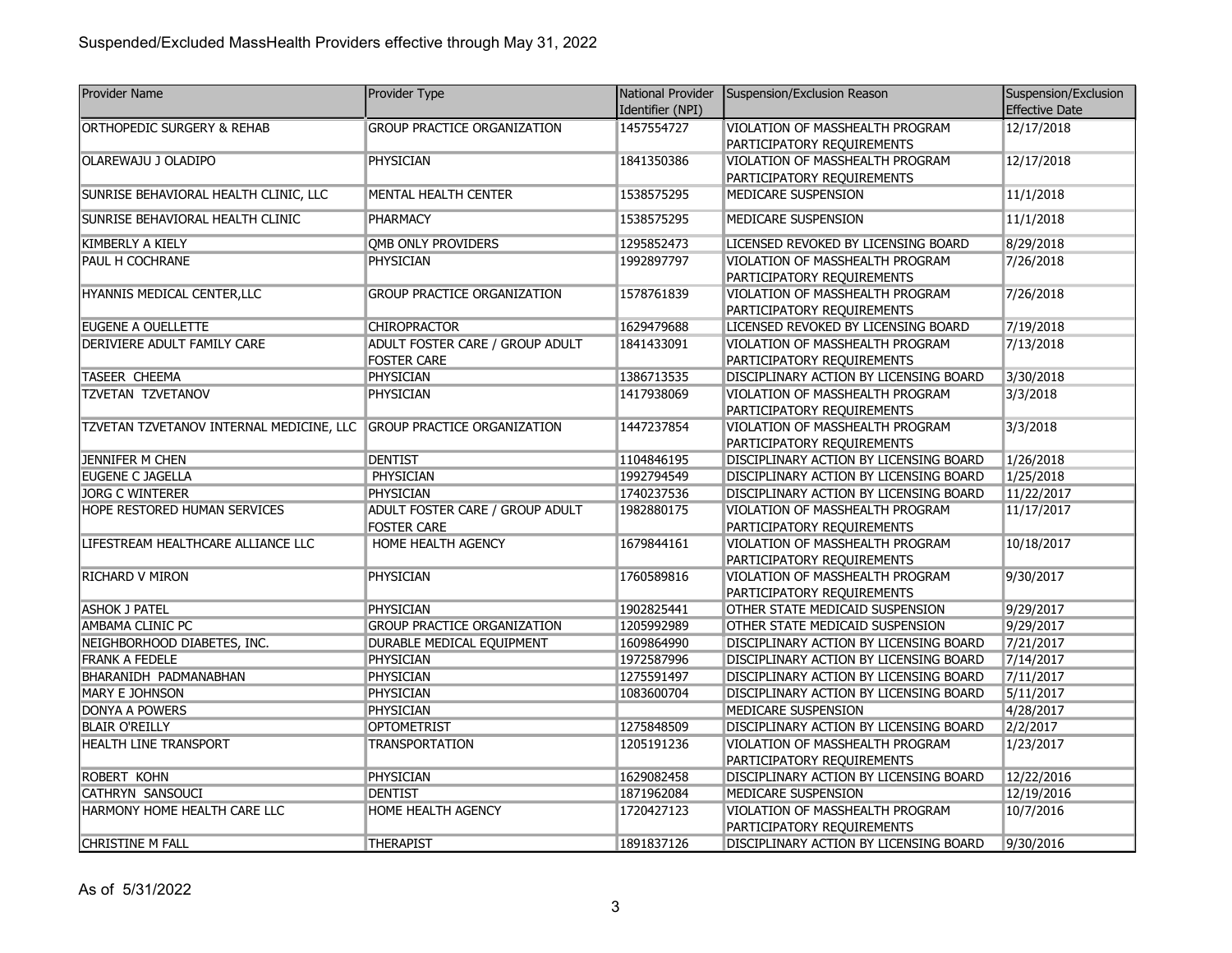| <b>Provider Name</b>                     | Provider Type                      | National Provider | Suspension/Exclusion Reason                                   | Suspension/Exclusion  |
|------------------------------------------|------------------------------------|-------------------|---------------------------------------------------------------|-----------------------|
|                                          |                                    | Identifier (NPI)  |                                                               | <b>Effective Date</b> |
| <b>ORTHOPEDIC SURGERY &amp; REHAB</b>    | <b>GROUP PRACTICE ORGANIZATION</b> | 1457554727        | VIOLATION OF MASSHEALTH PROGRAM                               | 12/17/2018            |
|                                          |                                    |                   | PARTICIPATORY REQUIREMENTS                                    |                       |
| OLAREWAJU J OLADIPO                      | <b>PHYSICIAN</b>                   | 1841350386        | VIOLATION OF MASSHEALTH PROGRAM                               | 12/17/2018            |
|                                          |                                    |                   | PARTICIPATORY REQUIREMENTS                                    |                       |
| SUNRISE BEHAVIORAL HEALTH CLINIC, LLC    | MENTAL HEALTH CENTER               | 1538575295        | MEDICARE SUSPENSION                                           | 11/1/2018             |
| SUNRISE BEHAVIORAL HEALTH CLINIC         | PHARMACY                           | 1538575295        | MEDICARE SUSPENSION                                           | 11/1/2018             |
| KIMBERLY A KIELY                         | QMB ONLY PROVIDERS                 | 1295852473        | LICENSED REVOKED BY LICENSING BOARD                           | 8/29/2018             |
| PAUL H COCHRANE                          | PHYSICIAN                          | 1992897797        | VIOLATION OF MASSHEALTH PROGRAM                               | 7/26/2018             |
|                                          |                                    |                   | PARTICIPATORY REQUIREMENTS                                    |                       |
| HYANNIS MEDICAL CENTER, LLC              | <b>GROUP PRACTICE ORGANIZATION</b> | 1578761839        | VIOLATION OF MASSHEALTH PROGRAM                               | 7/26/2018             |
|                                          |                                    |                   | PARTICIPATORY REQUIREMENTS                                    |                       |
| EUGENE A OUELLETTE                       | <b>CHIROPRACTOR</b>                | 1629479688        | LICENSED REVOKED BY LICENSING BOARD                           | 7/19/2018             |
| DERIVIERE ADULT FAMILY CARE              | ADULT FOSTER CARE / GROUP ADULT    | 1841433091        | VIOLATION OF MASSHEALTH PROGRAM                               | 7/13/2018             |
|                                          | <b>FOSTER CARE</b>                 |                   | PARTICIPATORY REQUIREMENTS                                    |                       |
| <b>TASEER CHEEMA</b>                     | <b>PHYSICIAN</b>                   | 1386713535        | DISCIPLINARY ACTION BY LICENSING BOARD                        | 3/30/2018             |
| <b>TZVETAN TZVETANOV</b>                 | PHYSICIAN                          | 1417938069        | VIOLATION OF MASSHEALTH PROGRAM                               | 3/3/2018              |
|                                          |                                    |                   | PARTICIPATORY REQUIREMENTS                                    |                       |
| TZVETAN TZVETANOV INTERNAL MEDICINE, LLC | <b>GROUP PRACTICE ORGANIZATION</b> | 1447237854        | VIOLATION OF MASSHEALTH PROGRAM                               | 3/3/2018              |
|                                          |                                    |                   | PARTICIPATORY REQUIREMENTS                                    |                       |
| JENNIFER M CHEN                          | <b>DENTIST</b>                     | 1104846195        | DISCIPLINARY ACTION BY LICENSING BOARD                        | 1/26/2018             |
| EUGENE C JAGELLA                         | PHYSICIAN                          | 1992794549        | DISCIPLINARY ACTION BY LICENSING BOARD                        | 1/25/2018             |
| <b>JORG C WINTERER</b>                   | <b>PHYSICIAN</b>                   | 1740237536        | DISCIPLINARY ACTION BY LICENSING BOARD                        | 11/22/2017            |
| HOPE RESTORED HUMAN SERVICES             | ADULT FOSTER CARE / GROUP ADULT    | 1982880175        | VIOLATION OF MASSHEALTH PROGRAM                               | 11/17/2017            |
|                                          | <b>FOSTER CARE</b>                 |                   | PARTICIPATORY REQUIREMENTS                                    |                       |
| LIFESTREAM HEALTHCARE ALLIANCE LLC       | HOME HEALTH AGENCY                 | 1679844161        | VIOLATION OF MASSHEALTH PROGRAM<br>PARTICIPATORY REQUIREMENTS | 10/18/2017            |
| <b>RICHARD V MIRON</b>                   | PHYSICIAN                          | 1760589816        | VIOLATION OF MASSHEALTH PROGRAM                               | 9/30/2017             |
|                                          |                                    |                   | PARTICIPATORY REQUIREMENTS                                    |                       |
| <b>ASHOK J PATEL</b>                     | <b>PHYSICIAN</b>                   | 1902825441        | OTHER STATE MEDICAID SUSPENSION                               | 9/29/2017             |
| AMBAMA CLINIC PC                         | <b>GROUP PRACTICE ORGANIZATION</b> | 1205992989        | OTHER STATE MEDICAID SUSPENSION                               | 9/29/2017             |
| NEIGHBORHOOD DIABETES, INC.              | DURABLE MEDICAL EQUIPMENT          | 1609864990        | DISCIPLINARY ACTION BY LICENSING BOARD                        | 7/21/2017             |
| <b>FRANK A FEDELE</b>                    | PHYSICIAN                          | 1972587996        | DISCIPLINARY ACTION BY LICENSING BOARD                        | 7/14/2017             |
| BHARANIDH PADMANABHAN                    | <b>PHYSICIAN</b>                   | 1275591497        | DISCIPLINARY ACTION BY LICENSING BOARD                        | 7/11/2017             |
| MARY E JOHNSON                           | <b>PHYSICIAN</b>                   | 1083600704        | DISCIPLINARY ACTION BY LICENSING BOARD                        | 5/11/2017             |
| DONYA A POWERS                           | <b>PHYSICIAN</b>                   |                   | MEDICARE SUSPENSION                                           | 4/28/2017             |
| <b>BLAIR O'REILLY</b>                    | <b>OPTOMETRIST</b>                 | 1275848509        | DISCIPLINARY ACTION BY LICENSING BOARD                        | 2/2/2017              |
| <b>HEALTH LINE TRANSPORT</b>             | <b>TRANSPORTATION</b>              | 1205191236        | VIOLATION OF MASSHEALTH PROGRAM                               | 1/23/2017             |
|                                          |                                    |                   | PARTICIPATORY REQUIREMENTS                                    |                       |
| ROBERT KOHN                              | <b>PHYSICIAN</b>                   | 1629082458        | DISCIPLINARY ACTION BY LICENSING BOARD                        | 12/22/2016            |
| CATHRYN SANSOUCI                         | <b>DENTIST</b>                     | 1871962084        | MEDICARE SUSPENSION                                           | 12/19/2016            |
| HARMONY HOME HEALTH CARE LLC             | HOME HEALTH AGENCY                 | 1720427123        | VIOLATION OF MASSHEALTH PROGRAM                               | 10/7/2016             |
|                                          |                                    |                   | PARTICIPATORY REQUIREMENTS                                    |                       |
| CHRISTINE M FALL                         | <b>THERAPIST</b>                   | 1891837126        | DISCIPLINARY ACTION BY LICENSING BOARD                        | 9/30/2016             |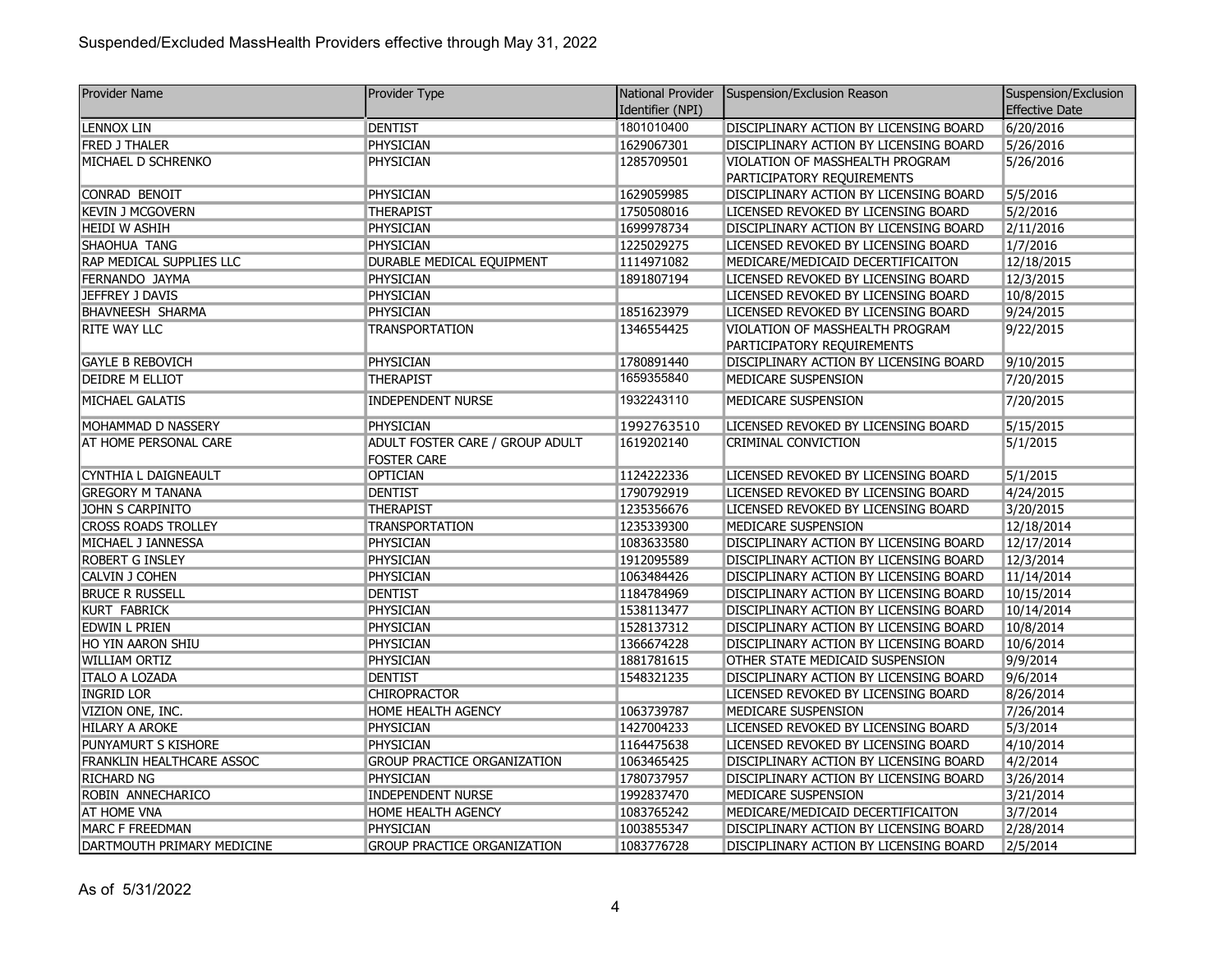| <b>Provider Name</b>             | Provider Type                         |                  | National Provider   Suspension/Exclusion Reason | Suspension/Exclusion  |
|----------------------------------|---------------------------------------|------------------|-------------------------------------------------|-----------------------|
|                                  |                                       | Identifier (NPI) |                                                 | <b>Effective Date</b> |
| <b>LENNOX LIN</b>                | <b>DENTIST</b>                        | 1801010400       | DISCIPLINARY ACTION BY LICENSING BOARD          | 6/20/2016             |
| <b>FRED J THALER</b>             | <b>PHYSICIAN</b>                      | 1629067301       | DISCIPLINARY ACTION BY LICENSING BOARD          | 5/26/2016             |
| MICHAEL D SCHRENKO               | PHYSICIAN                             | 1285709501       | VIOLATION OF MASSHEALTH PROGRAM                 | 5/26/2016             |
|                                  |                                       |                  | PARTICIPATORY REQUIREMENTS                      |                       |
| CONRAD BENOIT                    | PHYSICIAN                             | 1629059985       | DISCIPLINARY ACTION BY LICENSING BOARD          | 5/5/2016              |
| <b>KEVIN J MCGOVERN</b>          | <b>THERAPIST</b>                      | 1750508016       | LICENSED REVOKED BY LICENSING BOARD             | 5/2/2016              |
| <b>HEIDI W ASHIH</b>             | <b>PHYSICIAN</b>                      | 1699978734       | DISCIPLINARY ACTION BY LICENSING BOARD          | 2/11/2016             |
| SHAOHUA TANG                     | PHYSICIAN                             | 1225029275       | LICENSED REVOKED BY LICENSING BOARD             | 1/7/2016              |
| RAP MEDICAL SUPPLIES LLC         | DURABLE MEDICAL EQUIPMENT             | 1114971082       | MEDICARE/MEDICAID DECERTIFICAITON               | 12/18/2015            |
| FERNANDO JAYMA                   | <b>PHYSICIAN</b>                      | 1891807194       | LICENSED REVOKED BY LICENSING BOARD             | 12/3/2015             |
| JEFFREY J DAVIS                  | PHYSICIAN                             |                  | LICENSED REVOKED BY LICENSING BOARD             | 10/8/2015             |
| BHAVNEESH SHARMA                 | PHYSICIAN                             | 1851623979       | LICENSED REVOKED BY LICENSING BOARD             | 9/24/2015             |
| <b>RITE WAY LLC</b>              | <b>TRANSPORTATION</b>                 | 1346554425       | VIOLATION OF MASSHEALTH PROGRAM                 | 9/22/2015             |
|                                  |                                       |                  | PARTICIPATORY REQUIREMENTS                      |                       |
| <b>GAYLE B REBOVICH</b>          | PHYSICIAN                             | 1780891440       | DISCIPLINARY ACTION BY LICENSING BOARD          | 9/10/2015             |
| DEIDRE M ELLIOT                  | <b>THERAPIST</b>                      | 1659355840       | MEDICARE SUSPENSION                             | 7/20/2015             |
| MICHAEL GALATIS                  | <b>INDEPENDENT NURSE</b>              | 1932243110       | MEDICARE SUSPENSION                             | 7/20/2015             |
| MOHAMMAD D NASSERY               | PHYSICIAN                             | 1992763510       | LICENSED REVOKED BY LICENSING BOARD             | 5/15/2015             |
| AT HOME PERSONAL CARE            | ADULT FOSTER CARE / GROUP ADULT       | 1619202140       | CRIMINAL CONVICTION                             | 5/1/2015              |
| CYNTHIA L DAIGNEAULT             | <b>FOSTER CARE</b><br><b>OPTICIAN</b> | 1124222336       | LICENSED REVOKED BY LICENSING BOARD             | 5/1/2015              |
| <b>GREGORY M TANANA</b>          | <b>DENTIST</b>                        | 1790792919       | LICENSED REVOKED BY LICENSING BOARD             | 4/24/2015             |
| JOHN S CARPINITO                 | <b>THERAPIST</b>                      | 1235356676       | LICENSED REVOKED BY LICENSING BOARD             | 3/20/2015             |
| <b>CROSS ROADS TROLLEY</b>       | <b>TRANSPORTATION</b>                 | 1235339300       | MEDICARE SUSPENSION                             | 12/18/2014            |
| MICHAEL J IANNESSA               | PHYSICIAN                             | 1083633580       | DISCIPLINARY ACTION BY LICENSING BOARD          | 12/17/2014            |
| <b>ROBERT G INSLEY</b>           | PHYSICIAN                             | 1912095589       | DISCIPLINARY ACTION BY LICENSING BOARD          | 12/3/2014             |
| CALVIN J COHEN                   | <b>PHYSICIAN</b>                      | 1063484426       | DISCIPLINARY ACTION BY LICENSING BOARD          | 11/14/2014            |
| <b>BRUCE R RUSSELL</b>           | <b>DENTIST</b>                        | 1184784969       | DISCIPLINARY ACTION BY LICENSING BOARD          | 10/15/2014            |
| KURT FABRICK                     | PHYSICIAN                             | 1538113477       | DISCIPLINARY ACTION BY LICENSING BOARD          | 10/14/2014            |
| EDWIN L PRIEN                    | <b>PHYSICIAN</b>                      | 1528137312       | DISCIPLINARY ACTION BY LICENSING BOARD          | 10/8/2014             |
| HO YIN AARON SHIU                | <b>PHYSICIAN</b>                      | 1366674228       | DISCIPLINARY ACTION BY LICENSING BOARD          | 10/6/2014             |
| <b>WILLIAM ORTIZ</b>             | PHYSICIAN                             | 1881781615       | OTHER STATE MEDICAID SUSPENSION                 | 9/9/2014              |
| <b>ITALO A LOZADA</b>            | <b>DENTIST</b>                        | 1548321235       | DISCIPLINARY ACTION BY LICENSING BOARD          | 9/6/2014              |
| <b>INGRID LOR</b>                | <b>CHIROPRACTOR</b>                   |                  | LICENSED REVOKED BY LICENSING BOARD             | 8/26/2014             |
| VIZION ONE, INC.                 | <b>HOME HEALTH AGENCY</b>             | 1063739787       | MEDICARE SUSPENSION                             | 7/26/2014             |
| HILARY A AROKE                   | PHYSICIAN                             | 1427004233       | LICENSED REVOKED BY LICENSING BOARD             | 5/3/2014              |
| PUNYAMURT S KISHORE              | <b>PHYSICIAN</b>                      | 1164475638       | LICENSED REVOKED BY LICENSING BOARD             | 4/10/2014             |
| <b>FRANKLIN HEALTHCARE ASSOC</b> | <b>GROUP PRACTICE ORGANIZATION</b>    | 1063465425       | DISCIPLINARY ACTION BY LICENSING BOARD          | 4/2/2014              |
| <b>RICHARD NG</b>                | PHYSICIAN                             | 1780737957       | DISCIPLINARY ACTION BY LICENSING BOARD          | 3/26/2014             |
| ROBIN ANNECHARICO                | <b>INDEPENDENT NURSE</b>              | 1992837470       | MEDICARE SUSPENSION                             | 3/21/2014             |
| <b>AT HOME VNA</b>               | <b>HOME HEALTH AGENCY</b>             | 1083765242       | MEDICARE/MEDICAID DECERTIFICAITON               | 3/7/2014              |
| MARC F FREEDMAN                  | PHYSICIAN                             | 1003855347       | DISCIPLINARY ACTION BY LICENSING BOARD          | 2/28/2014             |
| DARTMOUTH PRIMARY MEDICINE       | <b>GROUP PRACTICE ORGANIZATION</b>    | 1083776728       | DISCIPLINARY ACTION BY LICENSING BOARD          | 2/5/2014              |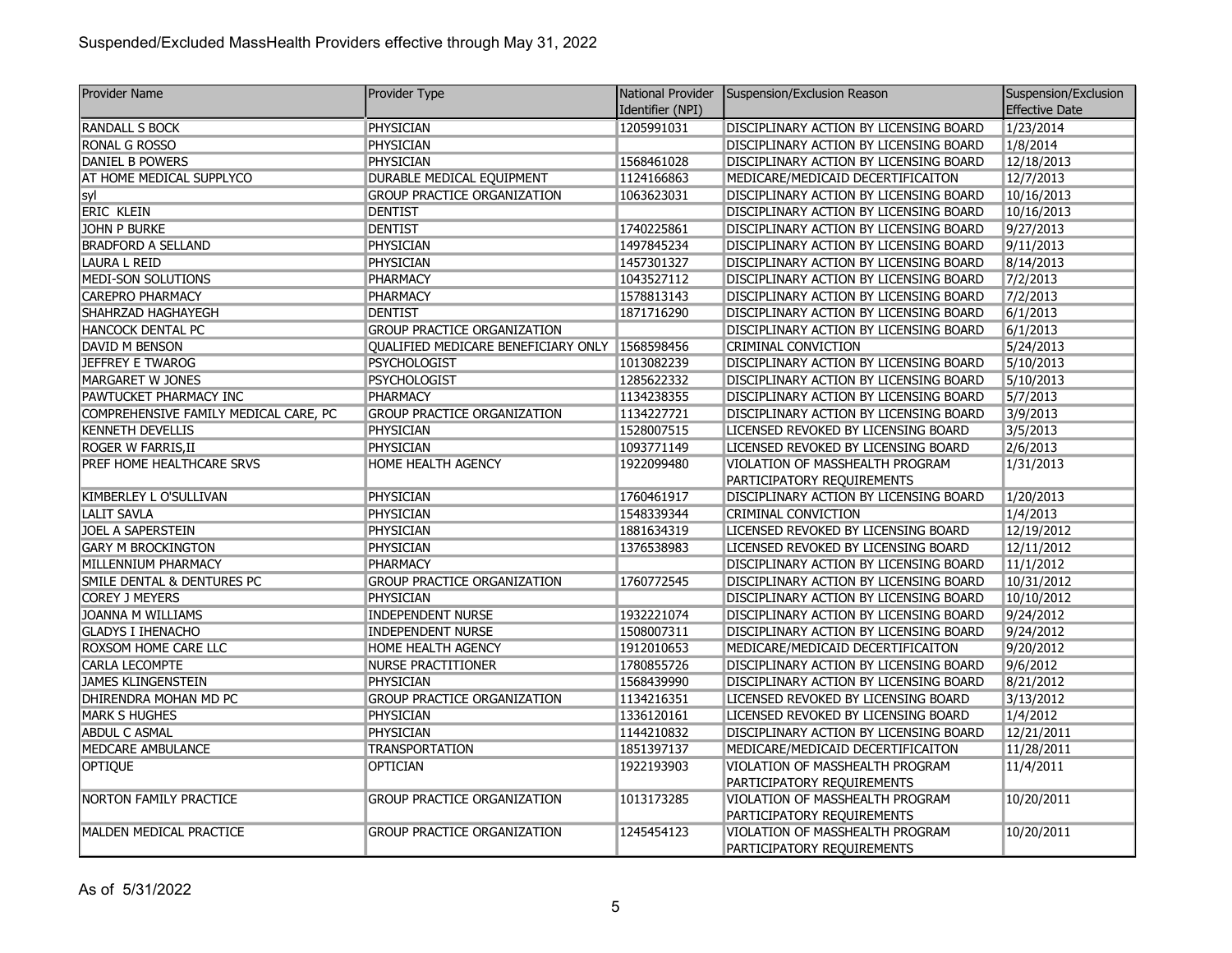| <b>Provider Name</b>                  | Provider Type                                  | National Provider | Suspension/Exclusion Reason            | Suspension/Exclusion  |
|---------------------------------------|------------------------------------------------|-------------------|----------------------------------------|-----------------------|
|                                       |                                                | Identifier (NPI)  |                                        | <b>Effective Date</b> |
| <b>RANDALL S BOCK</b>                 | <b>PHYSICIAN</b>                               | 1205991031        | DISCIPLINARY ACTION BY LICENSING BOARD | 1/23/2014             |
| RONAL G ROSSO                         | PHYSICIAN                                      |                   | DISCIPLINARY ACTION BY LICENSING BOARD | 1/8/2014              |
| <b>DANIEL B POWERS</b>                | <b>PHYSICIAN</b>                               | 1568461028        | DISCIPLINARY ACTION BY LICENSING BOARD | 12/18/2013            |
| AT HOME MEDICAL SUPPLYCO              | DURABLE MEDICAL EQUIPMENT                      | 1124166863        | MEDICARE/MEDICAID DECERTIFICAITON      | 12/7/2013             |
| syl                                   | <b>GROUP PRACTICE ORGANIZATION</b>             | 1063623031        | DISCIPLINARY ACTION BY LICENSING BOARD | 10/16/2013            |
| <b>ERIC KLEIN</b>                     | <b>DENTIST</b>                                 |                   | DISCIPLINARY ACTION BY LICENSING BOARD | 10/16/2013            |
| <b>JOHN P BURKE</b>                   | <b>DENTIST</b>                                 | 1740225861        | DISCIPLINARY ACTION BY LICENSING BOARD | 9/27/2013             |
| <b>BRADFORD A SELLAND</b>             | <b>PHYSICIAN</b>                               | 1497845234        | DISCIPLINARY ACTION BY LICENSING BOARD | 9/11/2013             |
| <b>LAURA L REID</b>                   | <b>PHYSICIAN</b>                               | 1457301327        | DISCIPLINARY ACTION BY LICENSING BOARD | 8/14/2013             |
| MEDI-SON SOLUTIONS                    | PHARMACY                                       | 1043527112        | DISCIPLINARY ACTION BY LICENSING BOARD | 7/2/2013              |
| <b>CAREPRO PHARMACY</b>               | <b>PHARMACY</b>                                | 1578813143        | DISCIPLINARY ACTION BY LICENSING BOARD | 7/2/2013              |
| SHAHRZAD HAGHAYEGH                    | <b>DENTIST</b>                                 | 1871716290        | DISCIPLINARY ACTION BY LICENSING BOARD | 6/1/2013              |
| <b>HANCOCK DENTAL PC</b>              | <b>GROUP PRACTICE ORGANIZATION</b>             |                   | DISCIPLINARY ACTION BY LICENSING BOARD | 6/1/2013              |
| DAVID M BENSON                        | QUALIFIED MEDICARE BENEFICIARY ONLY 1568598456 |                   | CRIMINAL CONVICTION                    | 5/24/2013             |
| <b>JEFFREY E TWAROG</b>               | <b>PSYCHOLOGIST</b>                            | 1013082239        | DISCIPLINARY ACTION BY LICENSING BOARD | 5/10/2013             |
| MARGARET W JONES                      | <b>PSYCHOLOGIST</b>                            | 1285622332        | DISCIPLINARY ACTION BY LICENSING BOARD | 5/10/2013             |
| PAWTUCKET PHARMACY INC                | <b>PHARMACY</b>                                | 1134238355        | DISCIPLINARY ACTION BY LICENSING BOARD | 5/7/2013              |
| COMPREHENSIVE FAMILY MEDICAL CARE, PC | <b>GROUP PRACTICE ORGANIZATION</b>             | 1134227721        | DISCIPLINARY ACTION BY LICENSING BOARD | 3/9/2013              |
| <b>KENNETH DEVELLIS</b>               | PHYSICIAN                                      | 1528007515        | LICENSED REVOKED BY LICENSING BOARD    | 3/5/2013              |
| ROGER W FARRIS, II                    | PHYSICIAN                                      | 1093771149        | LICENSED REVOKED BY LICENSING BOARD    | 2/6/2013              |
| PREF HOME HEALTHCARE SRVS             | HOME HEALTH AGENCY                             | 1922099480        | VIOLATION OF MASSHEALTH PROGRAM        | 1/31/2013             |
|                                       |                                                |                   | PARTICIPATORY REQUIREMENTS             |                       |
| KIMBERLEY L O'SULLIVAN                | PHYSICIAN                                      | 1760461917        | DISCIPLINARY ACTION BY LICENSING BOARD | 1/20/2013             |
| <b>LALIT SAVLA</b>                    | <b>PHYSICIAN</b>                               | 1548339344        | CRIMINAL CONVICTION                    | 1/4/2013              |
| <b>JOEL A SAPERSTEIN</b>              | <b>PHYSICIAN</b>                               | 1881634319        | LICENSED REVOKED BY LICENSING BOARD    | 12/19/2012            |
| <b>GARY M BROCKINGTON</b>             | <b>PHYSICIAN</b>                               | 1376538983        | LICENSED REVOKED BY LICENSING BOARD    | 12/11/2012            |
| MILLENNIUM PHARMACY                   | <b>PHARMACY</b>                                |                   | DISCIPLINARY ACTION BY LICENSING BOARD | 11/1/2012             |
| SMILE DENTAL & DENTURES PC            | <b>GROUP PRACTICE ORGANIZATION</b>             | 1760772545        | DISCIPLINARY ACTION BY LICENSING BOARD | 10/31/2012            |
| <b>COREY J MEYERS</b>                 | PHYSICIAN                                      |                   | DISCIPLINARY ACTION BY LICENSING BOARD | 10/10/2012            |
| JOANNA M WILLIAMS                     | <b>INDEPENDENT NURSE</b>                       | 1932221074        | DISCIPLINARY ACTION BY LICENSING BOARD | 9/24/2012             |
| <b>GLADYS I IHENACHO</b>              | <b>INDEPENDENT NURSE</b>                       | 1508007311        | DISCIPLINARY ACTION BY LICENSING BOARD | 9/24/2012             |
| ROXSOM HOME CARE LLC                  | HOME HEALTH AGENCY                             | 1912010653        | MEDICARE/MEDICAID DECERTIFICAITON      | 9/20/2012             |
| <b>CARLA LECOMPTE</b>                 | <b>NURSE PRACTITIONER</b>                      | 1780855726        | DISCIPLINARY ACTION BY LICENSING BOARD | 9/6/2012              |
| <b>JAMES KLINGENSTEIN</b>             | PHYSICIAN                                      | 1568439990        | DISCIPLINARY ACTION BY LICENSING BOARD | 8/21/2012             |
| DHIRENDRA MOHAN MD PC                 | <b>GROUP PRACTICE ORGANIZATION</b>             | 1134216351        | LICENSED REVOKED BY LICENSING BOARD    | 3/13/2012             |
| <b>MARK S HUGHES</b>                  | <b>PHYSICIAN</b>                               | 1336120161        | LICENSED REVOKED BY LICENSING BOARD    | 1/4/2012              |
| <b>ABDUL C ASMAL</b>                  | <b>PHYSICIAN</b>                               | 1144210832        | DISCIPLINARY ACTION BY LICENSING BOARD | 12/21/2011            |
| MEDCARE AMBULANCE                     | <b>TRANSPORTATION</b>                          | 1851397137        | MEDICARE/MEDICAID DECERTIFICAITON      | 11/28/2011            |
| OPTIQUE                               | <b>OPTICIAN</b>                                | 1922193903        | VIOLATION OF MASSHEALTH PROGRAM        | 11/4/2011             |
|                                       |                                                |                   | PARTICIPATORY REQUIREMENTS             |                       |
| <b>NORTON FAMILY PRACTICE</b>         | <b>GROUP PRACTICE ORGANIZATION</b>             | 1013173285        | VIOLATION OF MASSHEALTH PROGRAM        | 10/20/2011            |
|                                       |                                                |                   | PARTICIPATORY REQUIREMENTS             |                       |
| MALDEN MEDICAL PRACTICE               | <b>GROUP PRACTICE ORGANIZATION</b>             | 1245454123        | VIOLATION OF MASSHEALTH PROGRAM        | 10/20/2011            |
|                                       |                                                |                   | PARTICIPATORY REQUIREMENTS             |                       |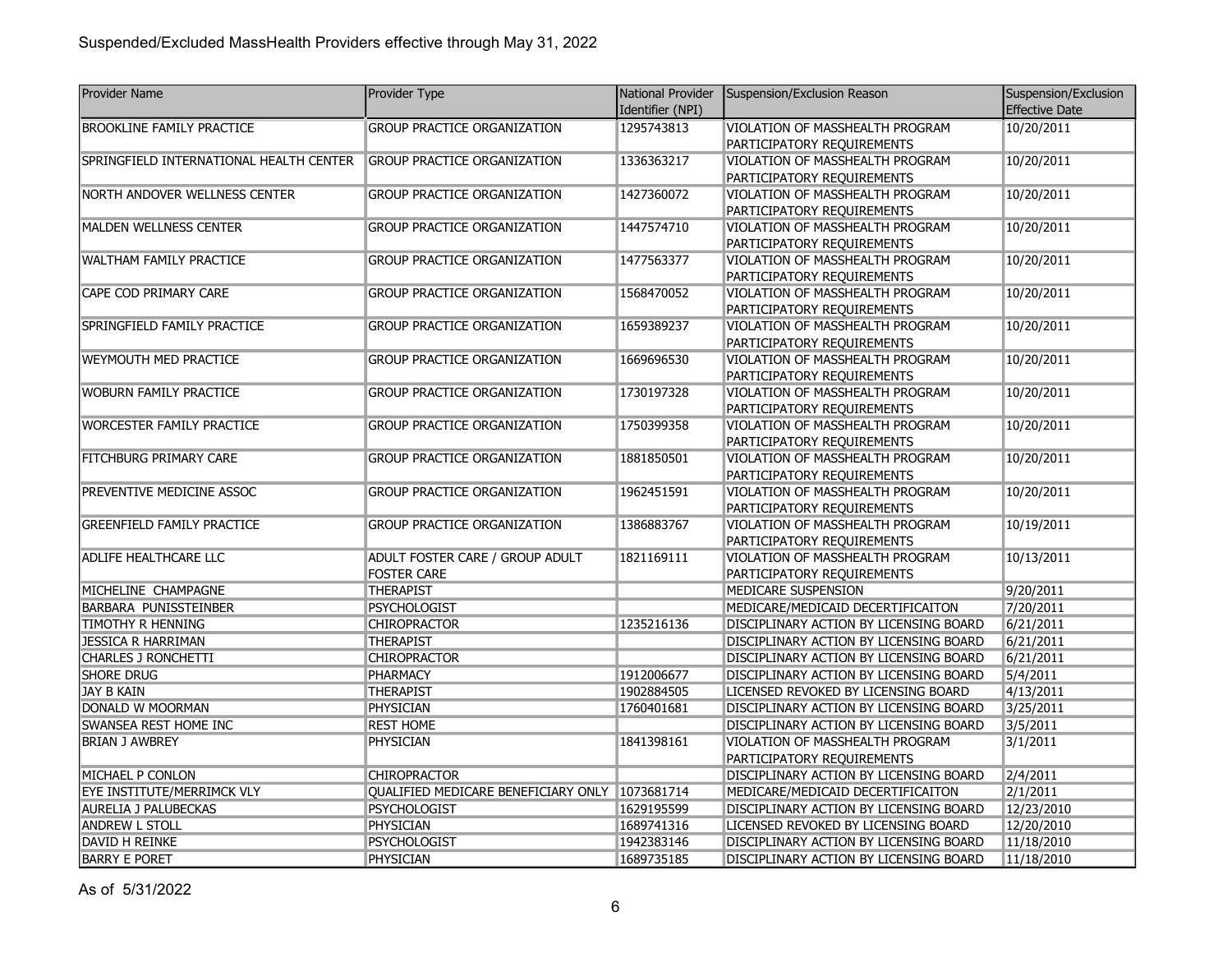| <b>Provider Name</b>                     | Provider Type                                  | National Provider | Suspension/Exclusion Reason                                                      | Suspension/Exclusion  |
|------------------------------------------|------------------------------------------------|-------------------|----------------------------------------------------------------------------------|-----------------------|
|                                          |                                                | Identifier (NPI)  |                                                                                  | Effective Date        |
| <b>BROOKLINE FAMILY PRACTICE</b>         | <b>GROUP PRACTICE ORGANIZATION</b>             | 1295743813        | VIOLATION OF MASSHEALTH PROGRAM                                                  | 10/20/2011            |
|                                          |                                                |                   | PARTICIPATORY REQUIREMENTS                                                       |                       |
| SPRINGFIELD INTERNATIONAL HEALTH CENTER  | <b>GROUP PRACTICE ORGANIZATION</b>             | 1336363217        | VIOLATION OF MASSHEALTH PROGRAM                                                  | 10/20/2011            |
|                                          |                                                |                   | PARTICIPATORY REQUIREMENTS                                                       |                       |
| NORTH ANDOVER WELLNESS CENTER            | <b>GROUP PRACTICE ORGANIZATION</b>             | 1427360072        | VIOLATION OF MASSHEALTH PROGRAM                                                  | 10/20/2011            |
|                                          |                                                |                   | PARTICIPATORY REQUIREMENTS                                                       |                       |
| MALDEN WELLNESS CENTER                   | <b>GROUP PRACTICE ORGANIZATION</b>             | 1447574710        | VIOLATION OF MASSHEALTH PROGRAM                                                  | 10/20/2011            |
|                                          |                                                |                   | PARTICIPATORY REQUIREMENTS                                                       |                       |
| <b>WALTHAM FAMILY PRACTICE</b>           | <b>GROUP PRACTICE ORGANIZATION</b>             | 1477563377        | VIOLATION OF MASSHEALTH PROGRAM                                                  | 10/20/2011            |
|                                          |                                                |                   | PARTICIPATORY REQUIREMENTS                                                       |                       |
| CAPE COD PRIMARY CARE                    | <b>GROUP PRACTICE ORGANIZATION</b>             | 1568470052        | VIOLATION OF MASSHEALTH PROGRAM                                                  | 10/20/2011            |
| SPRINGFIELD FAMILY PRACTICE              | <b>GROUP PRACTICE ORGANIZATION</b>             | 1659389237        | PARTICIPATORY REQUIREMENTS<br>VIOLATION OF MASSHEALTH PROGRAM                    | 10/20/2011            |
|                                          |                                                |                   | PARTICIPATORY REQUIREMENTS                                                       |                       |
| WEYMOUTH MED PRACTICE                    | <b>GROUP PRACTICE ORGANIZATION</b>             | 1669696530        | VIOLATION OF MASSHEALTH PROGRAM                                                  | 10/20/2011            |
|                                          |                                                |                   | PARTICIPATORY REQUIREMENTS                                                       |                       |
| WOBURN FAMILY PRACTICE                   | <b>GROUP PRACTICE ORGANIZATION</b>             | 1730197328        | VIOLATION OF MASSHEALTH PROGRAM                                                  | 10/20/2011            |
|                                          |                                                |                   | PARTICIPATORY REQUIREMENTS                                                       |                       |
| <b>WORCESTER FAMILY PRACTICE</b>         | <b>GROUP PRACTICE ORGANIZATION</b>             | 1750399358        | VIOLATION OF MASSHEALTH PROGRAM                                                  | 10/20/2011            |
|                                          |                                                |                   | PARTICIPATORY REQUIREMENTS                                                       |                       |
| <b>FITCHBURG PRIMARY CARE</b>            | <b>GROUP PRACTICE ORGANIZATION</b>             | 1881850501        | VIOLATION OF MASSHEALTH PROGRAM                                                  | 10/20/2011            |
|                                          |                                                |                   | PARTICIPATORY REQUIREMENTS                                                       |                       |
| PREVENTIVE MEDICINE ASSOC                | <b>GROUP PRACTICE ORGANIZATION</b>             | 1962451591        | VIOLATION OF MASSHEALTH PROGRAM                                                  | 10/20/2011            |
|                                          |                                                |                   | PARTICIPATORY REQUIREMENTS                                                       |                       |
| <b>GREENFIELD FAMILY PRACTICE</b>        | <b>GROUP PRACTICE ORGANIZATION</b>             | 1386883767        | VIOLATION OF MASSHEALTH PROGRAM                                                  | 10/19/2011            |
|                                          |                                                |                   | PARTICIPATORY REQUIREMENTS                                                       |                       |
| <b>ADLIFE HEALTHCARE LLC</b>             | ADULT FOSTER CARE / GROUP ADULT                | 1821169111        | VIOLATION OF MASSHEALTH PROGRAM                                                  | 10/13/2011            |
|                                          | <b>FOSTER CARE</b>                             |                   | PARTICIPATORY REQUIREMENTS                                                       |                       |
| MICHELINE CHAMPAGNE                      | <b>THERAPIST</b>                               |                   | MEDICARE SUSPENSION                                                              | 9/20/2011             |
| BARBARA PUNISSTEINBER                    | PSYCHOLOGIST                                   |                   | MEDICARE/MEDICAID DECERTIFICAITON                                                | 7/20/2011             |
| TIMOTHY R HENNING                        | <b>CHIROPRACTOR</b>                            | 1235216136        | DISCIPLINARY ACTION BY LICENSING BOARD                                           | 6/21/2011             |
| <b>JESSICA R HARRIMAN</b>                | <b>THERAPIST</b>                               |                   | DISCIPLINARY ACTION BY LICENSING BOARD                                           | 6/21/2011             |
| CHARLES J RONCHETTI<br><b>SHORE DRUG</b> | <b>CHIROPRACTOR</b>                            | 1912006677        | DISCIPLINARY ACTION BY LICENSING BOARD                                           | 6/21/2011             |
| JAY B KAIN                               | PHARMACY<br><b>THERAPIST</b>                   | 1902884505        | DISCIPLINARY ACTION BY LICENSING BOARD                                           | 5/4/2011<br>4/13/2011 |
| DONALD W MOORMAN                         | <b>PHYSICIAN</b>                               |                   | LICENSED REVOKED BY LICENSING BOARD                                              | 3/25/2011             |
| SWANSEA REST HOME INC                    | <b>REST HOME</b>                               | 1760401681        | DISCIPLINARY ACTION BY LICENSING BOARD<br>DISCIPLINARY ACTION BY LICENSING BOARD | 3/5/2011              |
| <b>BRIAN J AWBREY</b>                    | PHYSICIAN                                      | 1841398161        | VIOLATION OF MASSHEALTH PROGRAM                                                  | 3/1/2011              |
|                                          |                                                |                   | PARTICIPATORY REQUIREMENTS                                                       |                       |
| MICHAEL P CONLON                         | <b>CHIROPRACTOR</b>                            |                   | DISCIPLINARY ACTION BY LICENSING BOARD                                           | 2/4/2011              |
| EYE INSTITUTE/MERRIMCK VLY               | QUALIFIED MEDICARE BENEFICIARY ONLY 1073681714 |                   | MEDICARE/MEDICAID DECERTIFICAITON                                                | 2/1/2011              |
| <b>AURELIA J PALUBECKAS</b>              | <b>PSYCHOLOGIST</b>                            | 1629195599        | DISCIPLINARY ACTION BY LICENSING BOARD                                           | 12/23/2010            |
| <b>ANDREW L STOLL</b>                    | PHYSICIAN                                      | 1689741316        | LICENSED REVOKED BY LICENSING BOARD                                              | 12/20/2010            |
| DAVID H REINKE                           | <b>PSYCHOLOGIST</b>                            | 1942383146        | DISCIPLINARY ACTION BY LICENSING BOARD                                           | 11/18/2010            |
| <b>BARRY E PORET</b>                     | PHYSICIAN                                      | 1689735185        | DISCIPLINARY ACTION BY LICENSING BOARD                                           | 11/18/2010            |

As of 5/31/2022